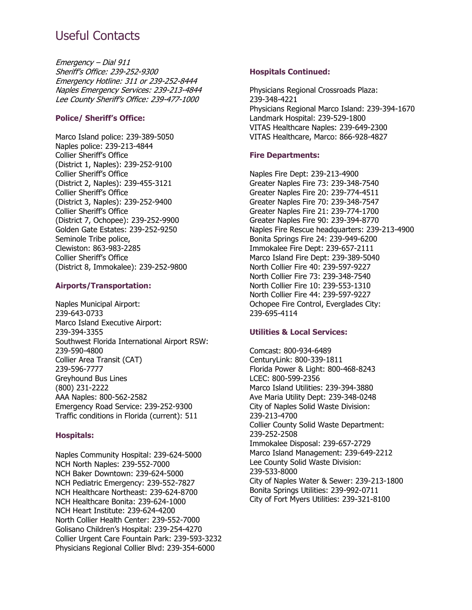# Useful Contacts

Emergency – Dial 911 Sheriff's Office: 239-252-9300 Emergency Hotline: 311 or 239-252-8444 Naples Emergency Services: 239-213-4844 Lee County Sheriff's Office: 239-477-1000

#### **Police/ Sheriff's Office:**

Marco Island police: 239-389-5050 Naples police: 239-213-4844 Collier Sheriff's Office (District 1, Naples): 239-252-9100 Collier Sheriff's Office (District 2, Naples): 239-455-3121 Collier Sheriff's Office (District 3, Naples): 239-252-9400 Collier Sheriff's Office (District 7, Ochopee): 239-252-9900 Golden Gate Estates: 239-252-9250 Seminole Tribe police, Clewiston: 863-983-2285 Collier Sheriff's Office (District 8, Immokalee): 239-252-9800

#### **Airports/Transportation:**

Naples Municipal Airport: 239-643-0733 Marco Island Executive Airport: 239-394-3355 Southwest Florida International Airport RSW: 239-590-4800 Collier Area Transit (CAT) 239-596-7777 Greyhound Bus Lines (800) 231-2222 AAA Naples: 800-562-2582 Emergency Road Service: 239-252-9300 Traffic conditions in Florida (current): 511

# **Hospitals:**

Naples Community Hospital: 239-624-5000 NCH North Naples: 239-552-7000 NCH Baker Downtown: 239-624-5000 NCH Pediatric Emergency: 239-552-7827 NCH Healthcare Northeast: 239-624-8700 NCH Healthcare Bonita: 239-624-1000 NCH Heart Institute: 239-624-4200 North Collier Health Center: 239-552-7000 Golisano Children's Hospital: 239-254-4270 Collier Urgent Care Fountain Park: 239-593-3232 Physicians Regional Collier Blvd: 239-354-6000

### **Hospitals Continued:**

Physicians Regional Crossroads Plaza: 239-348-4221 Physicians Regional Marco Island: 239-394-1670 Landmark Hospital: 239-529-1800 VITAS Healthcare Naples: 239-649-2300 VITAS Healthcare, Marco: 866-928-4827

# **Fire Departments:**

Naples Fire Dept: 239-213-4900 Greater Naples Fire 73: 239-348-7540 Greater Naples Fire 20: 239-774-4511 Greater Naples Fire 70: 239-348-7547 Greater Naples Fire 21: 239-774-1700 Greater Naples Fire 90: 239-394-8770 Naples Fire Rescue headquarters: 239-213-4900 Bonita Springs Fire 24: 239-949-6200 Immokalee Fire Dept: 239-657-2111 Marco Island Fire Dept: 239-389-5040 North Collier Fire 40: 239-597-9227 North Collier Fire 73: 239-348-7540 North Collier Fire 10: 239-553-1310 North Collier Fire 44: 239-597-9227 Ochopee Fire Control, Everglades City: 239-695-4114

# **Utilities & Local Services:**

Comcast: 800-934-6489 CenturyLink: 800-339-1811 Florida Power & Light: 800-468-8243 LCEC: 800-599-2356 Marco Island Utilities: 239-394-3880 Ave Maria Utility Dept: 239-348-0248 City of Naples Solid Waste Division: 239-213-4700 Collier County Solid Waste Department: 239-252-2508 Immokalee Disposal: 239-657-2729 Marco Island Management: 239-649-2212 Lee County Solid Waste Division: 239-533-8000 City of Naples Water & Sewer: 239-213-1800 Bonita Springs Utilities: 239-992-0711 City of Fort Myers Utilities: 239-321-8100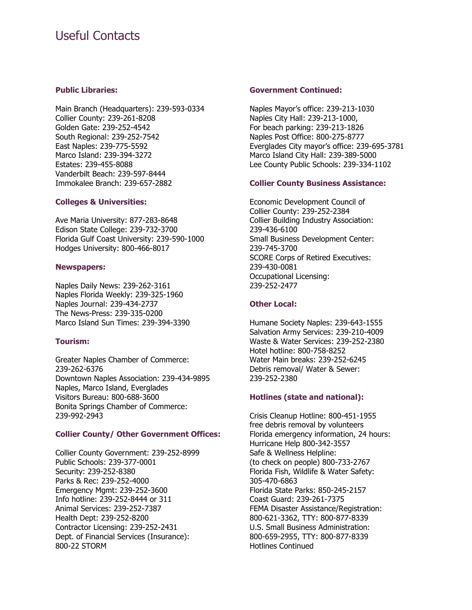# Useful Contacts

#### **Public Libraries:**

Main Branch (Headquarters): 239-593-0334 Collier County: 239-261-8208 Golden Gate: 239-252-4542 South Regional: 239-252-7542 East Naples: 239-775-5592 Marco Island: 239-394-3272 Estates: 239-455-8088 Vanderbilt Beach: 239-597-8444 Immokalee Branch: 239-657-2882

#### **Colleges & Universities:**

Ave Maria University: 877-283-8648 Edison State College: 239-732-3700 Florida Gulf Coast University: 239-590-1000 Hodges University: 800-466-8017

#### **Newspapers:**

Naples Daily News: 239-262-3161 Naples Florida Weekly: 239-325-1960 Naples Journal: 239-434-2737 The News-Press: 239-335-0200 Marco Island Sun Times: 239-394-3390

# **Tourism:**

Greater Naples Chamber of Commerce: 239-262-6376 Downtown Naples Association: 239-434-9895 Naples, Marco Island, Everglades Visitors Bureau: 800-688-3600 Bonita Springs Chamber of Commerce: 239-992-2943

# **Collier County/ Other Government Offices:**

Collier County Government: 239-252-8999 Public Schools: 239-377-0001 Security: 239-252-8380 Parks & Rec: 239-252-4000 Emergency Mgmt: 239-252-3600 Info hotline: 239-252-8444 or 311 Animal Services: 239-252-7387 Health Dept: 239-252-8200 Contractor Licensing: 239-252-2431 Dept. of Financial Services (Insurance): 800-22 STORM

#### **Government Continued:**

Naples Mayor's office: 239-213-1030 Naples City Hall: 239-213-1000, For beach parking: 239-213-1826 Naples Post Office: 800-275-8777 Everglades City mayor's office: 239-695-3781 Marco Island City Hall: 239-389-5000 Lee County Public Schools: 239-334-1102

# **Collier County Business Assistance:**

Economic Development Council of Collier County: 239-252-2384 Collier Building Industry Association: 239-436-6100 Small Business Development Center: 239-745-3700 SCORE Corps of Retired Executives: 239-430-0081 Occupational Licensing: 239-252-2477

# **Other Local:**

Humane Society Naples: 239-643-1555 Salvation Army Services: 239-210-4009 Waste & Water Services: 239-252-2380 Hotel hotline: 800-758-8252 Water Main breaks: 239-252-6245 Debris removal/ Water & Sewer: 239-252-2380

# **Hotlines (state and national):**

Crisis Cleanup Hotline: 800-451-1955 free debris removal by volunteers Florida emergency information, 24 hours: Hurricane Help 800-342-3557 Safe & Wellness Helpline: (to check on people) 800-733-2767 Florida Fish, Wildlife & Water Safety: 305-470-6863 Florida State Parks: 850-245-2157 Coast Guard: 239-261-7375 FEMA Disaster Assistance/Registration: 800-621-3362, TTY: 800-877-8339 U.S. Small Business Administration: 800-659-2955, TTY: 800-877-8339 Hotlines Continued